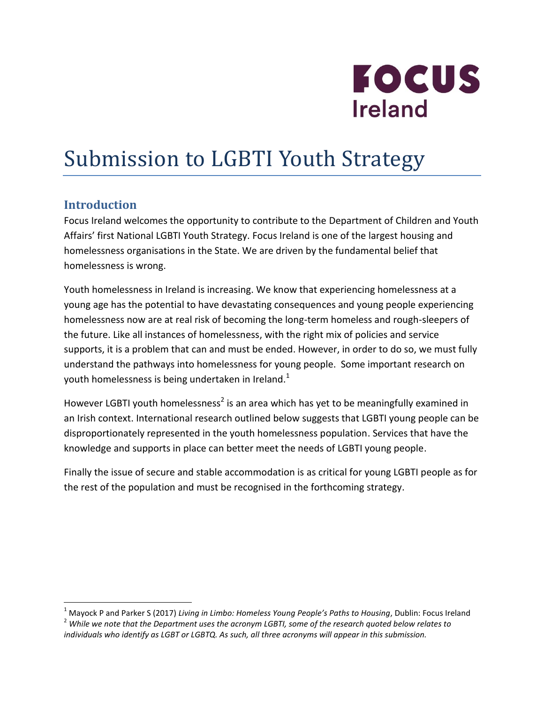

# Submission to LGBTI Youth Strategy

## **Introduction**

 $\overline{a}$ 

Focus Ireland welcomes the opportunity to contribute to the Department of Children and Youth Affairs' first National LGBTI Youth Strategy. Focus Ireland is one of the largest housing and homelessness organisations in the State. We are driven by the fundamental belief that homelessness is wrong.

Youth homelessness in Ireland is increasing. We know that experiencing homelessness at a young age has the potential to have devastating consequences and young people experiencing homelessness now are at real risk of becoming the long-term homeless and rough-sleepers of the future. Like all instances of homelessness, with the right mix of policies and service supports, it is a problem that can and must be ended. However, in order to do so, we must fully understand the pathways into homelessness for young people. Some important research on youth homelessness is being undertaken in Ireland.<sup>1</sup>

However LGBTI youth homelessness<sup>2</sup> is an area which has yet to be meaningfully examined in an Irish context. International research outlined below suggests that LGBTI young people can be disproportionately represented in the youth homelessness population. Services that have the knowledge and supports in place can better meet the needs of LGBTI young people.

Finally the issue of secure and stable accommodation is as critical for young LGBTI people as for the rest of the population and must be recognised in the forthcoming strategy.

<sup>1</sup> Mayock P and Parker S (2017) *Living in Limbo: Homeless Young People's Paths to Housing*, Dublin: Focus Ireland <sup>2</sup> *While we note that the Department uses the acronym LGBTI, some of the research quoted below relates to individuals who identify as LGBT or LGBTQ. As such, all three acronyms will appear in this submission.*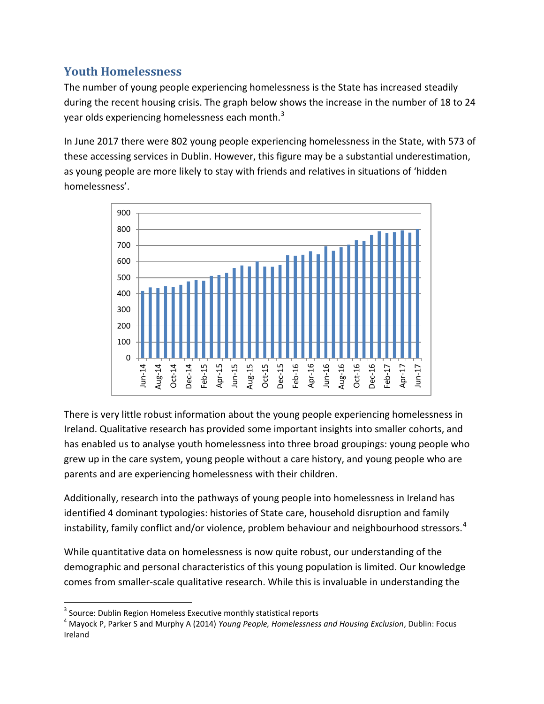# **Youth Homelessness**

The number of young people experiencing homelessness is the State has increased steadily during the recent housing crisis. The graph below shows the increase in the number of 18 to 24 year olds experiencing homelessness each month.<sup>3</sup>

In June 2017 there were 802 young people experiencing homelessness in the State, with 573 of these accessing services in Dublin. However, this figure may be a substantial underestimation, as young people are more likely to stay with friends and relatives in situations of 'hidden homelessness'.



There is very little robust information about the young people experiencing homelessness in Ireland. Qualitative research has provided some important insights into smaller cohorts, and has enabled us to analyse youth homelessness into three broad groupings: young people who grew up in the care system, young people without a care history, and young people who are parents and are experiencing homelessness with their children.

Additionally, research into the pathways of young people into homelessness in Ireland has identified 4 dominant typologies: histories of State care, household disruption and family instability, family conflict and/or violence, problem behaviour and neighbourhood stressors.<sup>4</sup>

While quantitative data on homelessness is now quite robust, our understanding of the demographic and personal characteristics of this young population is limited. Our knowledge comes from smaller-scale qualitative research. While this is invaluable in understanding the

 $\overline{a}$  $3$  Source: Dublin Region Homeless Executive monthly statistical reports

<sup>4</sup> Mayock P, Parker S and Murphy A (2014) *Young People, Homelessness and Housing Exclusion*, Dublin: Focus Ireland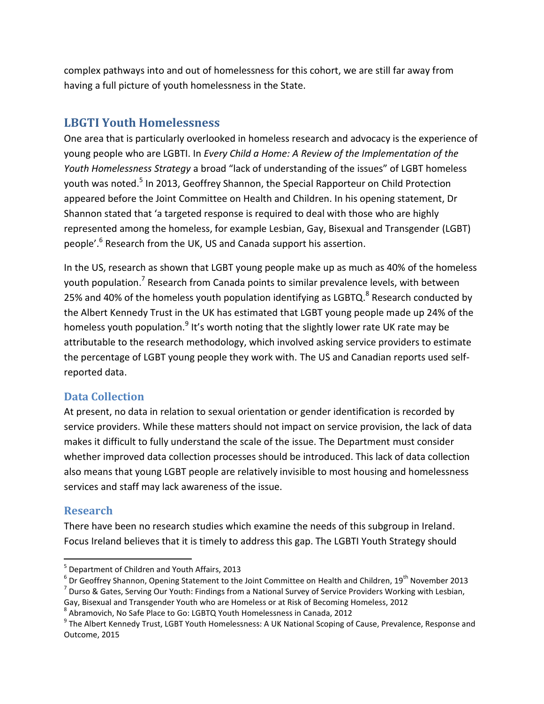complex pathways into and out of homelessness for this cohort, we are still far away from having a full picture of youth homelessness in the State.

## **LBGTI Youth Homelessness**

One area that is particularly overlooked in homeless research and advocacy is the experience of young people who are LGBTI. In *Every Child a Home: A Review of the Implementation of the Youth Homelessness Strategy* a broad "lack of understanding of the issues" of LGBT homeless youth was noted.<sup>5</sup> In 2013, Geoffrey Shannon, the Special Rapporteur on Child Protection appeared before the Joint Committee on Health and Children. In his opening statement, Dr Shannon stated that 'a targeted response is required to deal with those who are highly represented among the homeless, for example Lesbian, Gay, Bisexual and Transgender (LGBT) people'.<sup>6</sup> Research from the UK, US and Canada support his assertion.

In the US, research as shown that LGBT young people make up as much as 40% of the homeless youth population.<sup>7</sup> Research from Canada points to similar prevalence levels, with between 25% and 40% of the homeless youth population identifying as LGBTQ.<sup>8</sup> Research conducted by the Albert Kennedy Trust in the UK has estimated that LGBT young people made up 24% of the homeless youth population.<sup>9</sup> It's worth noting that the slightly lower rate UK rate may be attributable to the research methodology, which involved asking service providers to estimate the percentage of LGBT young people they work with. The US and Canadian reports used selfreported data.

## **Data Collection**

At present, no data in relation to sexual orientation or gender identification is recorded by service providers. While these matters should not impact on service provision, the lack of data makes it difficult to fully understand the scale of the issue. The Department must consider whether improved data collection processes should be introduced. This lack of data collection also means that young LGBT people are relatively invisible to most housing and homelessness services and staff may lack awareness of the issue.

## **Research**

 $\overline{a}$ 

There have been no research studies which examine the needs of this subgroup in Ireland. Focus Ireland believes that it is timely to address this gap. The LGBTI Youth Strategy should

<sup>&</sup>lt;sup>5</sup> Department of Children and Youth Affairs, 2013

 $^6$  Dr Geoffrey Shannon, Opening Statement to the Joint Committee on Health and Children, 19<sup>th</sup> November 2013  $^7$  Durso & Gates, Serving Our Youth: Findings from a National Survey of Service Providers Working with Lesbian,

Gay, Bisexual and Transgender Youth who are Homeless or at Risk of Becoming Homeless, 2012

<sup>8</sup> Abramovich, No Safe Place to Go: LGBTQ Youth Homelessness in Canada, 2012

<sup>&</sup>lt;sup>9</sup> The Albert Kennedy Trust, LGBT Youth Homelessness: A UK National Scoping of Cause, Prevalence, Response and Outcome, 2015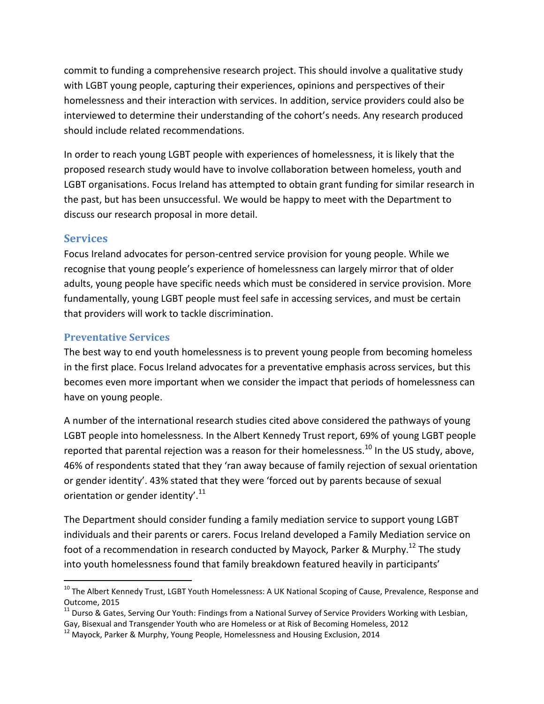commit to funding a comprehensive research project. This should involve a qualitative study with LGBT young people, capturing their experiences, opinions and perspectives of their homelessness and their interaction with services. In addition, service providers could also be interviewed to determine their understanding of the cohort's needs. Any research produced should include related recommendations.

In order to reach young LGBT people with experiences of homelessness, it is likely that the proposed research study would have to involve collaboration between homeless, youth and LGBT organisations. Focus Ireland has attempted to obtain grant funding for similar research in the past, but has been unsuccessful. We would be happy to meet with the Department to discuss our research proposal in more detail.

#### **Services**

 $\overline{a}$ 

Focus Ireland advocates for person-centred service provision for young people. While we recognise that young people's experience of homelessness can largely mirror that of older adults, young people have specific needs which must be considered in service provision. More fundamentally, young LGBT people must feel safe in accessing services, and must be certain that providers will work to tackle discrimination.

#### **Preventative Services**

The best way to end youth homelessness is to prevent young people from becoming homeless in the first place. Focus Ireland advocates for a preventative emphasis across services, but this becomes even more important when we consider the impact that periods of homelessness can have on young people.

A number of the international research studies cited above considered the pathways of young LGBT people into homelessness. In the Albert Kennedy Trust report, 69% of young LGBT people reported that parental rejection was a reason for their homelessness.<sup>10</sup> In the US study, above, 46% of respondents stated that they 'ran away because of family rejection of sexual orientation or gender identity'. 43% stated that they were 'forced out by parents because of sexual orientation or gender identity'.<sup>11</sup>

The Department should consider funding a family mediation service to support young LGBT individuals and their parents or carers. Focus Ireland developed a Family Mediation service on foot of a recommendation in research conducted by Mayock, Parker & Murphy.<sup>12</sup> The study into youth homelessness found that family breakdown featured heavily in participants'

<sup>&</sup>lt;sup>10</sup> The Albert Kennedy Trust, LGBT Youth Homelessness: A UK National Scoping of Cause, Prevalence, Response and Outcome, 2015

<sup>&</sup>lt;sup>11</sup> Durso & Gates, Serving Our Youth: Findings from a National Survey of Service Providers Working with Lesbian, Gay, Bisexual and Transgender Youth who are Homeless or at Risk of Becoming Homeless, 2012

<sup>&</sup>lt;sup>12</sup> Mayock, Parker & Murphy, Young People, Homelessness and Housing Exclusion, 2014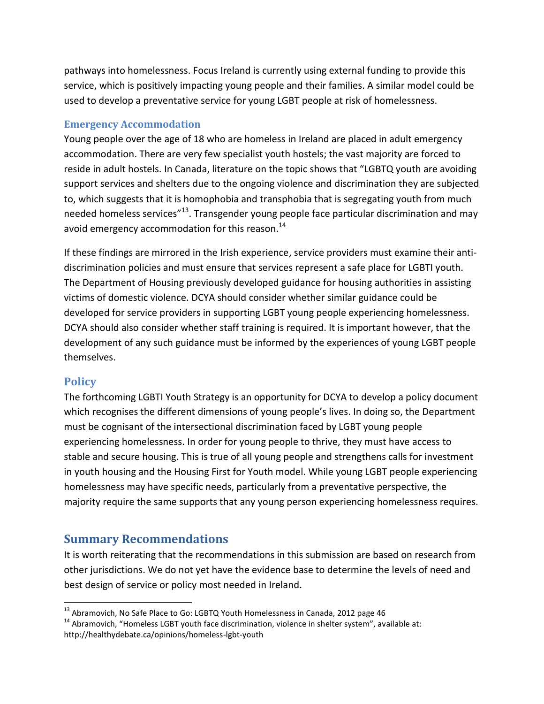pathways into homelessness. Focus Ireland is currently using external funding to provide this service, which is positively impacting young people and their families. A similar model could be used to develop a preventative service for young LGBT people at risk of homelessness.

#### **Emergency Accommodation**

Young people over the age of 18 who are homeless in Ireland are placed in adult emergency accommodation. There are very few specialist youth hostels; the vast majority are forced to reside in adult hostels. In Canada, literature on the topic shows that "LGBTQ youth are avoiding support services and shelters due to the ongoing violence and discrimination they are subjected to, which suggests that it is homophobia and transphobia that is segregating youth from much needed homeless services"<sup>13</sup>. Transgender young people face particular discrimination and may avoid emergency accommodation for this reason.<sup>14</sup>

If these findings are mirrored in the Irish experience, service providers must examine their antidiscrimination policies and must ensure that services represent a safe place for LGBTI youth. The Department of Housing previously developed guidance for housing authorities in assisting victims of domestic violence. DCYA should consider whether similar guidance could be developed for service providers in supporting LGBT young people experiencing homelessness. DCYA should also consider whether staff training is required. It is important however, that the development of any such guidance must be informed by the experiences of young LGBT people themselves.

## **Policy**

 $\overline{a}$ 

The forthcoming LGBTI Youth Strategy is an opportunity for DCYA to develop a policy document which recognises the different dimensions of young people's lives. In doing so, the Department must be cognisant of the intersectional discrimination faced by LGBT young people experiencing homelessness. In order for young people to thrive, they must have access to stable and secure housing. This is true of all young people and strengthens calls for investment in youth housing and the Housing First for Youth model. While young LGBT people experiencing homelessness may have specific needs, particularly from a preventative perspective, the majority require the same supports that any young person experiencing homelessness requires.

## **Summary Recommendations**

It is worth reiterating that the recommendations in this submission are based on research from other jurisdictions. We do not yet have the evidence base to determine the levels of need and best design of service or policy most needed in Ireland.

<sup>&</sup>lt;sup>13</sup> Abramovich, No Safe Place to Go: LGBTQ Youth Homelessness in Canada, 2012 page 46

<sup>&</sup>lt;sup>14</sup> Abramovich, "Homeless LGBT youth face discrimination, violence in shelter system", available at: http://healthydebate.ca/opinions/homeless-lgbt-youth